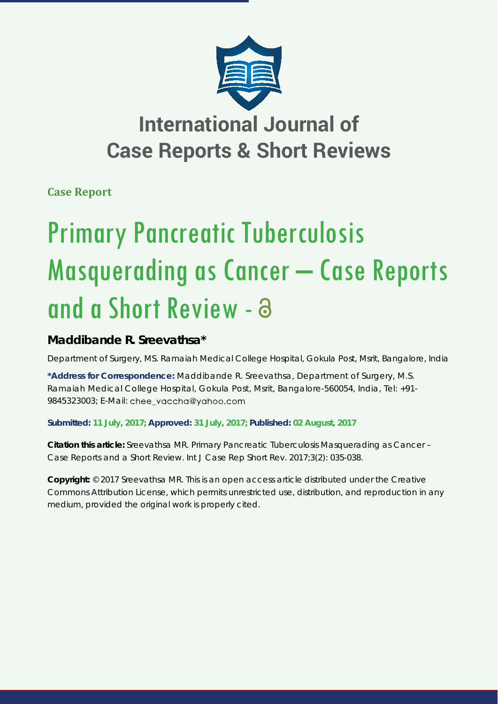

## **International Journal of Case Reports & Short Reviews**

**Case Report**

# Primary Pancreatic Tuberculosis Masquerading as Cancer – Case Reports and a Short Review -

### **Maddibande R. Sreevathsa\***

*Department of Surgery, MS. Ramaiah Medical College Hospital, Gokula Post, Msrit, Bangalore, India* 

**\*Address for Correspondence:** Maddibande R. Sreevathsa, Department of Surgery, M.S. Ramaiah Medical College Hospital, Gokula Post, Msrit, Bangalore-560054, India, Tel: +91- 9845323003; E-Mail: chee vaccha@yahoo.com

**Submitted: 11 July, 2017; Approved: 31 July, 2017; Published: 02 August, 2017**

**Citation this article:** Sreevathsa MR. Primary Pancreatic Tuberculosis Masquerading as Cancer – Case Reports and a Short Review. Int J Case Rep Short Rev. 2017;3(2): 035-038.

**Copyright:** © 2017 Sreevathsa MR. This is an open access article distributed under the Creative Commons Attribution License, which permits unrestricted use, distribution, and reproduction in any medium, provided the original work is properly cited.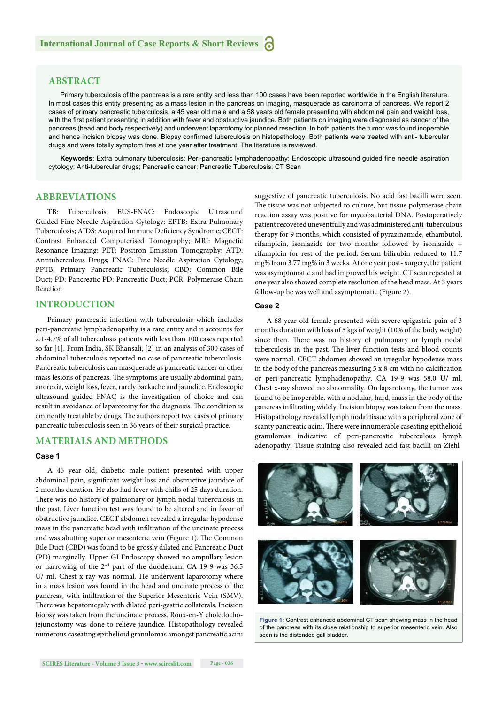#### **ABSTRACT**

Primary tuberculosis of the pancreas is a rare entity and less than 100 cases have been reported worldwide in the English literature. In most cases this entity presenting as a mass lesion in the pancreas on imaging, masquerade as carcinoma of pancreas. We report 2 cases of primary pancreatic tuberculosis, a 45 year old male and a 58 years old female presenting with abdominal pain and weight loss, with the first patient presenting in addition with fever and obstructive jaundice. Both patients on imaging were diagnosed as cancer of the pancreas (head and body respectively) and underwent laparotomy for planned resection. In both patients the tumor was found inoperable and hence incision biopsy was done. Biopsy confirmed tuberculosis on histopathology. Both patients were treated with anti- tubercular drugs and were totally symptom free at one year after treatment. The literature is reviewed.

Keywords: Extra pulmonary tuberculosis; Peri-pancreatic lymphadenopathy; Endoscopic ultrasound guided fine needle aspiration cytology; Anti-tubercular drugs; Pancreatic cancer; Pancreatic Tuberculosis; CT Scan

#### **ABBREVIATIONS**

TB: Tuberculosis; EUS-FNAC: Endoscopic Ultrasound Guided-Fine Needle Aspiration Cytology; EPTB: Extra-Pulmonary Tuberculosis; AIDS: Acquired Immune Deficiency Syndrome; CECT: Contrast Enhanced Computerised Tomography; MRI: Magnetic Resonance Imaging; PET: Positron Emission Tomography; ATD: Antituberculous Drugs; FNAC: Fine Needle Aspiration Cytology; PPTB: Primary Pancreatic Tuberculosis; CBD: Common Bile Duct; PD: Pancreatic PD: Pancreatic Duct; PCR: Polymerase Chain Reaction

#### **INTRODUCTION**

Primary pancreatic infection with tuberculosis which includes peri-pancreatic lymphadenopathy is a rare entity and it accounts for 2.1-4.7% of all tuberculosis patients with less than 100 cases reported so far [1]. From India, SK Bhansali, [2] in an analysis of 300 cases of abdominal tuberculosis reported no case of pancreatic tuberculosis. Pancreatic tuberculosis can masquerade as pancreatic cancer or other mass lesions of pancreas. The symptoms are usually abdominal pain, anorexia, weight loss, fever, rarely backache and jaundice. Endoscopic ultrasound guided FNAC is the investigation of choice and can result in avoidance of laparotomy for the diagnosis. The condition is eminently treatable by drugs. The authors report two cases of primary pancreatic tuberculosis seen in 36 years of their surgical practice.

#### **MATERIALS AND METHODS**

#### **Case 1**

A 45 year old, diabetic male patient presented with upper abdominal pain, significant weight loss and obstructive jaundice of 2 months duration. He also had fever with chills of 25 days duration. There was no history of pulmonary or lymph nodal tuberculosis in the past. Liver function test was found to be altered and in favor of obstructive jaundice. CECT abdomen revealed a irregular hypodense mass in the pancreatic head with infiltration of the uncinate process and was abutting superior mesenteric vein (Figure 1). The Common Bile Duct (CBD) was found to be grossly dilated and Pancreatic Duct (PD) marginally. Upper GI Endoscopy showed no ampullary lesion or narrowing of the 2nd part of the duodenum. CA 19-9 was 36.5 U/ ml. Chest x-ray was normal. He underwent laparotomy where in a mass lesion was found in the head and uncinate process of the pancreas, with infiltration of the Superior Mesenteric Vein (SMV). There was hepatomegaly with dilated peri-gastric collaterals. Incision biopsy was taken from the uncinate process. Roux-en-Y choledochojejunostomy was done to relieve jaundice. Histopathology revealed numerous caseating epithelioid granulomas amongst pancreatic acini suggestive of pancreatic tuberculosis. No acid fast bacilli were seen. The tissue was not subjected to culture, but tissue polymerase chain reaction assay was positive for mycobacterial DNA. Postoperatively patient recovered uneventfully and was administered anti-tuberculous therapy for 9 months, which consisted of pyrazinamide, ethambutol, rifampicin, isoniazide for two months followed by isoniazide + rifampicin for rest of the period. Serum bilirubin reduced to 11.7 mg% from 3.77 mg% in 3 weeks. At one year post- surgery, the patient was asymptomatic and had improved his weight. CT scan repeated at one year also showed complete resolution of the head mass. At 3 years follow-up he was well and asymptomatic (Figure 2).

#### **Case 2**

A 68 year old female presented with severe epigastric pain of 3 months duration with loss of 5 kgs of weight (10% of the body weight) since then. There was no history of pulmonary or lymph nodal tuberculosis in the past. The liver function tests and blood counts were normal. CECT abdomen showed an irregular hypodense mass in the body of the pancreas measuring  $5 \times 8$  cm with no calcification or peri-pancreatic lymphadenopathy. CA 19-9 was 58.0 U/ ml. Chest x-ray showed no abnormality. On laparotomy, the tumor was found to be inoperable, with a nodular, hard, mass in the body of the pancreas infiltrating widely. Incision biopsy was taken from the mass. Histopathology revealed lymph nodal tissue with a peripheral zone of scanty pancreatic acini. There were innumerable caseating epithelioid granulomas indicative of peri-pancreatic tuberculous lymph adenopathy. Tissue staining also revealed acid fast bacilli on Ziehl-



**Figure 1:** Contrast enhanced abdominal CT scan showing mass in the head of the pancreas with its close relationship to superior mesenteric vein. Also seen is the distended gall bladder.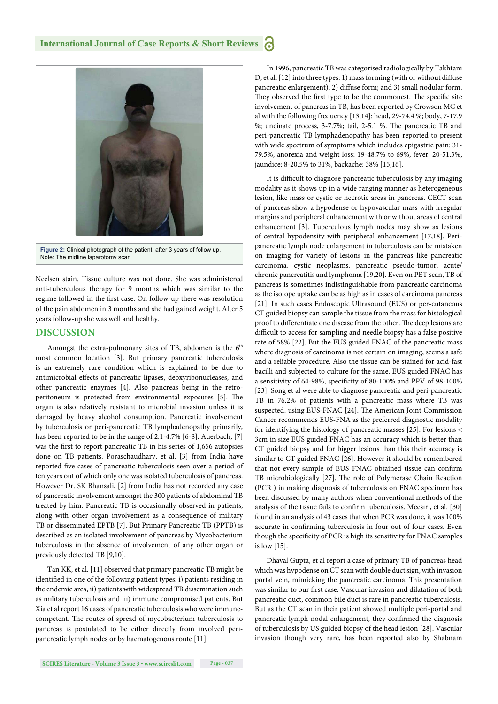

Neelsen stain. Tissue culture was not done. She was administered anti-tuberculous therapy for 9 months which was similar to the regime followed in the first case. On follow-up there was resolution of the pain abdomen in 3 months and she had gained weight. After 5 years follow-up she was well and healthy.

#### **DISCUSSION**

Amongst the extra-pulmonary sites of TB, abdomen is the 6<sup>th</sup> most common location [3]. But primary pancreatic tuberculosis is an extremely rare condition which is explained to be due to antimicrobial effects of pancreatic lipases, deoxyribonucleases, and other pancreatic enzymes [4]. Also pancreas being in the retroperitoneum is protected from environmental exposures [5]. The organ is also relatively resistant to microbial invasion unless it is damaged by heavy alcohol consumption. Pancreatic involvement by tuberculosis or peri-pancreatic TB lymphadenopathy primarily, has been reported to be in the range of 2.1-4.7% [6-8]. Auerbach, [7] was the first to report pancreatic TB in his series of 1,656 autopsies done on TB patients. Poraschaudhary, et al. [3] from India have reported five cases of pancreatic tuberculosis seen over a period of ten years out of which only one was isolated tuberculosis of pancreas. However Dr. SK Bhansali, [2] from India has not recorded any case of pancreatic involvement amongst the 300 patients of abdominal TB treated by him. Pancreatic TB is occasionally observed in patients, along with other organ involvement as a consequence of military TB or disseminated EPTB [7]. But Primary Pancreatic TB (PPTB) is described as an isolated involvement of pancreas by Mycobacterium tuberculosis in the absence of involvement of any other organ or previously detected TB [9,10].

Tan KK, et al. [11] observed that primary pancreatic TB might be identified in one of the following patient types: i) patients residing in the endemic area, ii) patients with widespread TB dissemination such as military tuberculosis and iii) immune compromised patients. But Xia et al report 16 cases of pancreatic tuberculosis who were immunecompetent. The routes of spread of mycobacterium tuberculosis to pancreas is postulated to be either directly from involved peripancreatic lymph nodes or by haematogenous route [11].

In 1996, pancreatic TB was categorised radiologically by Takhtani D, et al. [12] into three types: 1) mass forming (with or without diffuse pancreatic enlargement); 2) diffuse form; and 3) small nodular form. They observed the first type to be the commonest. The specific site involvement of pancreas in TB, has been reported by Crowson MC et al with the following frequency [13,14]: head, 29-74.4 %; body, 7-17.9 %; uncinate process, 3-7.7%; tail, 2-5.1 %. The pancreatic TB and peri-pancreatic TB lymphadenopathy has been reported to present with wide spectrum of symptoms which includes epigastric pain: 31- 79.5%, anorexia and weight loss: 19-48.7% to 69%, fever: 20-51.3%, jaundice: 8-20.5% to 31%, backache: 38% [15,16].

It is difficult to diagnose pancreatic tuberculosis by any imaging modality as it shows up in a wide ranging manner as heterogeneous lesion, like mass or cystic or necrotic areas in pancreas. CECT scan of pancreas show a hypodense or hypovascular mass with irregular margins and peripheral enhancement with or without areas of central enhancement [3]. Tuberculous lymph nodes may show as lesions of central hypodensity with peripheral enhancement [17,18]. Peripancreatic lymph node enlargement in tuberculosis can be mistaken on imaging for variety of lesions in the pancreas like pancreatic carcinoma, cystic neoplasms, pancreatic pseudo-tumor, acute/ chronic pancreatitis and lymphoma [19,20]. Even on PET scan, TB of pancreas is sometimes indistinguishable from pancreatic carcinoma as the isotope uptake can be as high as in cases of carcinoma pancreas [21]. In such cases Endoscopic Ultrasound (EUS) or per-cutaneous CT guided biopsy can sample the tissue from the mass for histological proof to differentiate one disease from the other. The deep lesions are difficult to access for sampling and needle biopsy has a false positive rate of 58% [22]. But the EUS guided FNAC of the pancreatic mass where diagnosis of carcinoma is not certain on imaging, seems a safe and a reliable procedure. Also the tissue can be stained for acid-fast bacilli and subjected to culture for the same. EUS guided FNAC has a sensitivity of 64-98%, specificity of 80-100% and PPV of 98-100% [23]. Song et al were able to diagnose pancreatic and peri-pancreatic TB in 76.2% of patients with a pancreatic mass where TB was suspected, using EUS-FNAC [24]. The American Joint Commission Cancer recommends EUS-FNA as the preferred diagnostic modality for identifying the histology of pancreatic masses [25]. For lesions < 3cm in size EUS guided FNAC has an accuracy which is better than CT guided biopsy and for bigger lesions than this their accuracy is similar to CT guided FNAC [26]. However it should be remembered that not every sample of EUS FNAC obtained tissue can confirm TB microbiologically [27]. The role of Polymerase Chain Reaction (PCR ) in making diagnosis of tuberculosis on FNAC specimen has been discussed by many authors when conventional methods of the analysis of the tissue fails to confirm tuberculosis. Meesiri, et al. [30] found in an analysis of 43 cases that when PCR was done, it was 100% accurate in confirming tuberculosis in four out of four cases. Even though the specificity of PCR is high its sensitivity for FNAC samples is low [15].

Dhaval Gupta, et al report a case of primary TB of pancreas head which was hypodense on CT scan with double duct sign, with invasion portal vein, mimicking the pancreatic carcinoma. This presentation was similar to our first case. Vascular invasion and dilatation of both pancreatic duct, common bile duct is rare in pancreatic tuberculosis. But as the CT scan in their patient showed multiple peri-portal and pancreatic lymph nodal enlargement, they confirmed the diagnosis of tuberculosis by US guided biopsy of the head lesion [28]. Vascular invasion though very rare, has been reported also by Shabnam